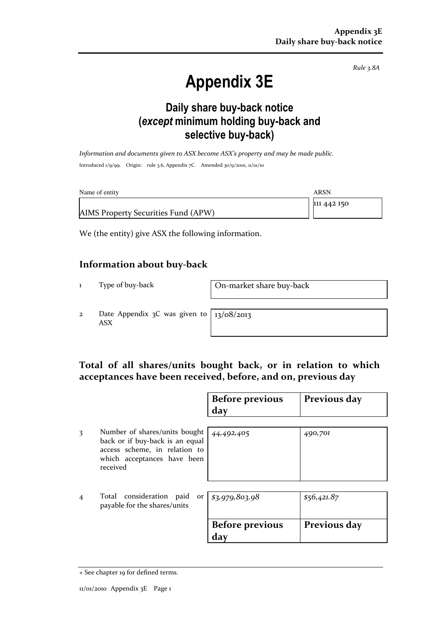Rule 3.8A

# Appendix 3E

### Daily share buy-back notice (except minimum holding buy-back and selective buy-back)

Information and documents given to ASX become ASX's property and may be made public. Introduced 1/9/99. Origin: rule 3.6, Appendix 7C. Amended 30/9/2001, 11/01/10

| Name of entity                      | ARSN        |
|-------------------------------------|-------------|
|                                     | 111 442 150 |
| AIMS Property Securities Fund (APW) |             |

We (the entity) give ASX the following information.

#### Information about buy-back

1 Type of buy-back On-market share buy-back

2 Date Appendix 3C was given to ASX

13/08/2013

#### Total of all shares/units bought back, or in relation to which acceptances have been received, before, and on, previous day

|   |                                                                                                                                              | <b>Before previous</b><br>day | Previous day |
|---|----------------------------------------------------------------------------------------------------------------------------------------------|-------------------------------|--------------|
| 3 | Number of shares/units bought<br>back or if buy-back is an equal<br>access scheme, in relation to<br>which acceptances have been<br>received | 44,492,405                    | 490,701      |
| 4 | Total consideration paid<br>payable for the shares/units                                                                                     | or $83,979,803.98$            | \$56,421.87  |
|   |                                                                                                                                              | <b>Before previous</b><br>day | Previous day |

<sup>+</sup> See chapter 19 for defined terms.